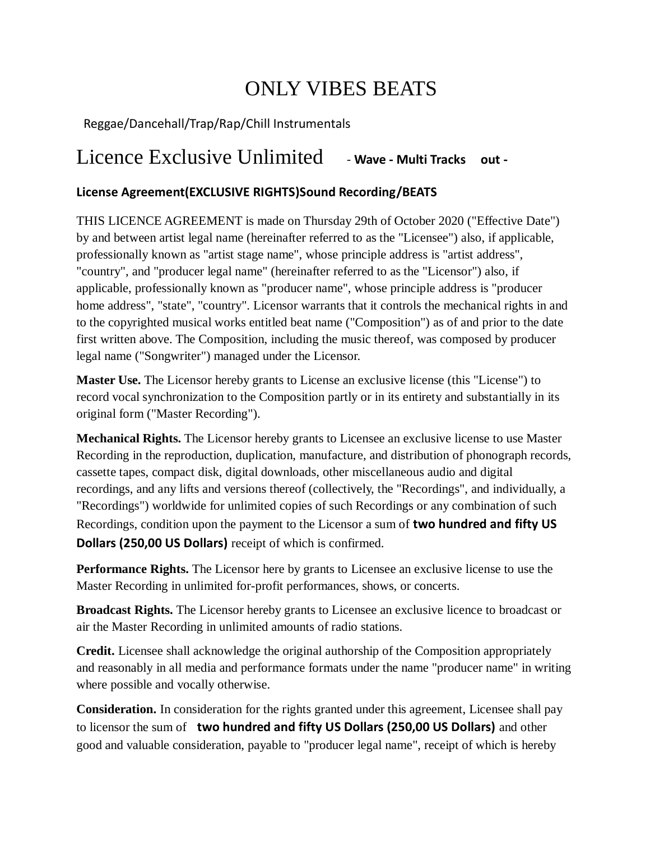# ONLY VIBES BEATS

## Reggae/Dancehall/Trap/Rap/Chill Instrumentals

## Licence Exclusive Unlimited - **Wave - Multi Tracks out -**

## **License Agreement(EXCLUSIVE RIGHTS)Sound Recording/BEATS**

THIS LICENCE AGREEMENT is made on Thursday 29th of October 2020 ("Effective Date") by and between artist legal name (hereinafter referred to as the "Licensee") also, if applicable, professionally known as "artist stage name", whose principle address is "artist address", "country", and "producer legal name" (hereinafter referred to as the "Licensor") also, if applicable, professionally known as "producer name", whose principle address is "producer home address", "state", "country". Licensor warrants that it controls the mechanical rights in and to the copyrighted musical works entitled beat name ("Composition") as of and prior to the date first written above. The Composition, including the music thereof, was composed by producer legal name ("Songwriter") managed under the Licensor.

**Master Use.** The Licensor hereby grants to License an exclusive license (this "License") to record vocal synchronization to the Composition partly or in its entirety and substantially in its original form ("Master Recording").

**Mechanical Rights.** The Licensor hereby grants to Licensee an exclusive license to use Master Recording in the reproduction, duplication, manufacture, and distribution of phonograph records, cassette tapes, compact disk, digital downloads, other miscellaneous audio and digital recordings, and any lifts and versions thereof (collectively, the "Recordings", and individually, a "Recordings") worldwide for unlimited copies of such Recordings or any combination of such Recordings, condition upon the payment to the Licensor a sum of **two hundred and fifty US Dollars (250,00 US Dollars)** receipt of which is confirmed.

**Performance Rights.** The Licensor here by grants to Licensee an exclusive license to use the Master Recording in unlimited for-profit performances, shows, or concerts.

**Broadcast Rights.** The Licensor hereby grants to Licensee an exclusive licence to broadcast or air the Master Recording in unlimited amounts of radio stations.

**Credit.** Licensee shall acknowledge the original authorship of the Composition appropriately and reasonably in all media and performance formats under the name "producer name" in writing where possible and vocally otherwise.

**Consideration.** In consideration for the rights granted under this agreement, Licensee shall pay to licensor the sum of **two hundred and fifty US Dollars (250,00 US Dollars)** and other good and valuable consideration, payable to "producer legal name", receipt of which is hereby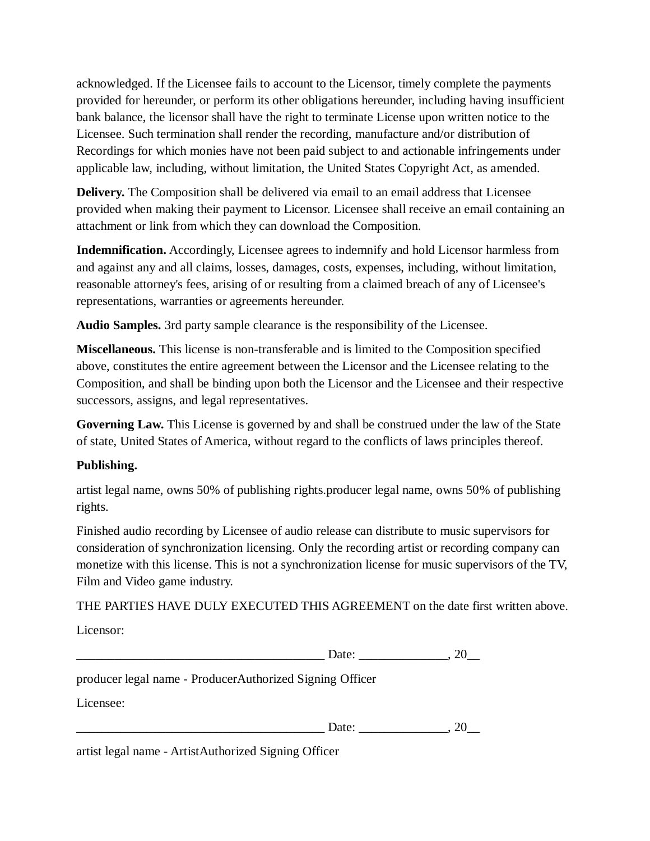acknowledged. If the Licensee fails to account to the Licensor, timely complete the payments provided for hereunder, or perform its other obligations hereunder, including having insufficient bank balance, the licensor shall have the right to terminate License upon written notice to the Licensee. Such termination shall render the recording, manufacture and/or distribution of Recordings for which monies have not been paid subject to and actionable infringements under applicable law, including, without limitation, the United States Copyright Act, as amended.

**Delivery.** The Composition shall be delivered via email to an email address that Licensee provided when making their payment to Licensor. Licensee shall receive an email containing an attachment or link from which they can download the Composition.

**Indemnification.** Accordingly, Licensee agrees to indemnify and hold Licensor harmless from and against any and all claims, losses, damages, costs, expenses, including, without limitation, reasonable attorney's fees, arising of or resulting from a claimed breach of any of Licensee's representations, warranties or agreements hereunder.

**Audio Samples.** 3rd party sample clearance is the responsibility of the Licensee.

**Miscellaneous.** This license is non-transferable and is limited to the Composition specified above, constitutes the entire agreement between the Licensor and the Licensee relating to the Composition, and shall be binding upon both the Licensor and the Licensee and their respective successors, assigns, and legal representatives.

**Governing Law.** This License is governed by and shall be construed under the law of the State of state, United States of America, without regard to the conflicts of laws principles thereof.

#### **Publishing.**

artist legal name, owns 50% of publishing rights.producer legal name, owns 50% of publishing rights.

Finished audio recording by Licensee of audio release can distribute to music supervisors for consideration of synchronization licensing. Only the recording artist or recording company can monetize with this license. This is not a synchronization license for music supervisors of the TV, Film and Video game industry.

THE PARTIES HAVE DULY EXECUTED THIS AGREEMENT on the date first written above.

Licensor:

producer legal name - ProducerAuthorized Signing Officer

Licensee:

 $Date:$   $20$ 

artist legal name - ArtistAuthorized Signing Officer